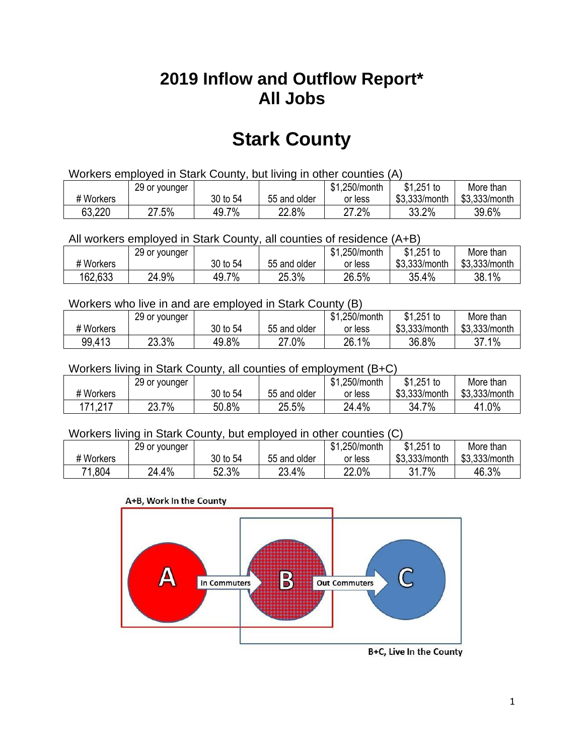## **2019 Inflow and Outflow Report\* All Jobs**

# **Stark County**

| Workers employed in Stark County, but living in other counties (A) |                                                            |          |              |         |               |               |  |  |  |
|--------------------------------------------------------------------|------------------------------------------------------------|----------|--------------|---------|---------------|---------------|--|--|--|
|                                                                    | $$1,251$ to<br>\$1.250/month<br>29 or younger<br>More than |          |              |         |               |               |  |  |  |
| # Workers                                                          |                                                            | 30 to 54 | 55 and older | or less | \$3,333/month | \$3,333/month |  |  |  |
| 63,220                                                             | 27.5%                                                      | 49.7%    | 22.8%        | 27.2%   | 33.2%         | 39.6%         |  |  |  |

All workers employed in Stark County, all counties of residence (A+B)

|           | 29 or younger |          |              | \$1,250/month | \$1,251 to    | More than     |
|-----------|---------------|----------|--------------|---------------|---------------|---------------|
| # Workers |               | 30 to 54 | 55 and older | or less       | \$3,333/month | \$3,333/month |
| 162,633   | 24.9%         | 49.7%    | 25.3%        | 26.5%         | 35.4%         | 38.1%         |

#### Workers who live in and are employed in Stark County (B)

|           | 29 or younger |          |              | \$1,250/month | $$1,251$ to   | More than     |
|-----------|---------------|----------|--------------|---------------|---------------|---------------|
| # Workers |               | 30 to 54 | 55 and older | or less       | \$3,333/month | \$3,333/month |
| 99,413    | 23.3%         | 49.8%    | 27.0%        | 26.1%         | 36.8%         | 37.1%         |

#### Workers living in Stark County, all counties of employment (B+C)

|           | 29 or younger |          |              | \$1,250/month | \$1,251 to    | More than     |
|-----------|---------------|----------|--------------|---------------|---------------|---------------|
| # Workers |               | 30 to 54 | 55 and older | or less       | \$3,333/month | \$3,333/month |
| 171,217   | $23.7\%$      | 50.8%    | 25.5%        | 24.4%         | 34.7%         | 41.0%         |

#### Workers living in Stark County, but employed in other counties (C)

|           | 29 or younger |          |              | \$1,250/month | $$1,251$ to   | More than     |
|-----------|---------------|----------|--------------|---------------|---------------|---------------|
| # Workers |               | 30 to 54 | 55 and older | or less       | \$3,333/month | \$3,333/month |
| 71,804    | 24.4%         | 52.3%    | 23.4%        | 22.0%         | 7%<br>31.7    | 46.3%         |

#### A+B, Work In the County